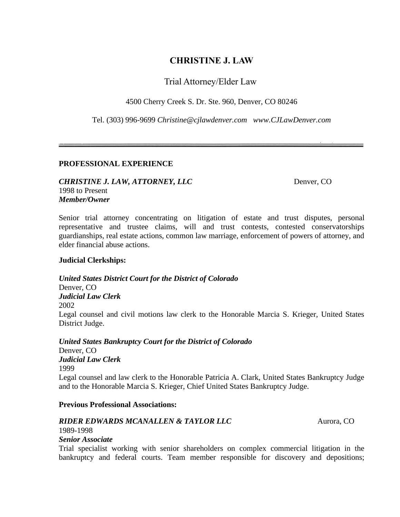# **CHRISTINE J. LAW**

# Trial Attorney/Elder Law

4500 Cherry Creek S. Dr. Ste. 960, Denver, CO 80246

Tel. (303) 996-9699 *[Christine@cjlawdenver.com](mailto:Christine@cjlawdenver.com) www.CJLawDenver.com*

# **PROFESSIONAL EXPERIENCE**

# *CHRISTINE J. LAW, ATTORNEY, LLC* Denver, CO 1998 to Present *Member/Owner*

Senior trial attorney concentrating on litigation of estate and trust disputes, personal representative and trustee claims, will and trust contests, contested conservatorships guardianships, real estate actions, common law marriage, enforcement of powers of attorney, and elder financial abuse actions.

# **Judicial Clerkships:**

*United States District Court for the District of Colorado* Denver, CO *Judicial Law Clerk* 2002 Legal counsel and civil motions law clerk to the Honorable Marcia S. Krieger, United States District Judge.

*United States Bankruptcy Court for the District of Colorado*  Denver, CO *Judicial Law Clerk* 1999 Legal counsel and law clerk to the Honorable Patricia A. Clark, United States Bankruptcy Judge and to the Honorable Marcia S. Krieger, Chief United States Bankruptcy Judge.

# **Previous Professional Associations:**

# *RIDER EDWARDS MCANALLEN & TAYLOR LLC* Aurora, CO

1989-1998

# *Senior Associate*

Trial specialist working with senior shareholders on complex commercial litigation in the bankruptcy and federal courts. Team member responsible for discovery and depositions;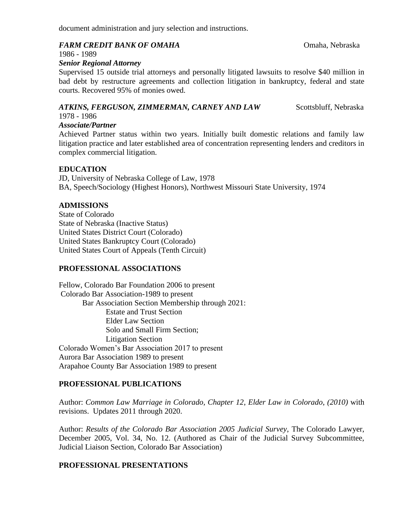document administration and jury selection and instructions.

#### *FARM CREDIT BANK OF OMAHA* Omaha, Nebraska

1986 - 1989

#### *Senior Regional Attorney*

Supervised 15 outside trial attorneys and personally litigated lawsuits to resolve \$40 million in bad debt by restructure agreements and collection litigation in bankruptcy, federal and state courts. Recovered 95% of monies owed.

# *ATKINS, FERGUSON, ZIMMERMAN, CARNEY AND LAW* Scottsbluff, Nebraska

# 1978 - 1986

### *Associate/Partner*

Achieved Partner status within two years. Initially built domestic relations and family law litigation practice and later established area of concentration representing lenders and creditors in complex commercial litigation.

# **EDUCATION**

JD, University of Nebraska College of Law, 1978 BA, Speech/Sociology (Highest Honors), Northwest Missouri State University, 1974

# **ADMISSIONS**

State of Colorado State of Nebraska (Inactive Status) United States District Court (Colorado) United States Bankruptcy Court (Colorado) United States Court of Appeals (Tenth Circuit)

# **PROFESSIONAL ASSOCIATIONS**

Fellow, Colorado Bar Foundation 2006 to present Colorado Bar Association-1989 to present Bar Association Section Membership through 2021: Estate and Trust Section Elder Law Section Solo and Small Firm Section; Litigation Section Colorado Women's Bar Association 2017 to present Aurora Bar Association 1989 to present Arapahoe County Bar Association 1989 to present

# **PROFESSIONAL PUBLICATIONS**

Author: *Common Law Marriage in Colorado, Chapter 12*, *Elder Law in Colorado*, *(2010)* with revisions. Updates 2011 through 2020.

Author: *Results of the Colorado Bar Association 2005 Judicial Survey*, The Colorado Lawyer, December 2005, Vol. 34, No. 12. (Authored as Chair of the Judicial Survey Subcommittee, Judicial Liaison Section, Colorado Bar Association)

# **PROFESSIONAL PRESENTATIONS**